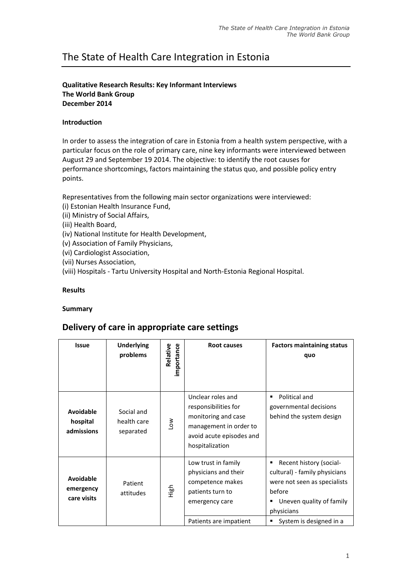# The State of Health Care Integration in Estonia

# **Qualitative Research Results: Key Informant Interviews The World Bank Group December 2014**

### **Introduction**

In order to assess the integration of care in Estonia from a health system perspective, with a particular focus on the role of primary care, nine key informants were interviewed between August 29 and September 19 2014. The objective: to identify the root causes for performance shortcomings, factors maintaining the status quo, and possible policy entry points.

Representatives from the following main sector organizations were interviewed:

- (i) Estonian Health Insurance Fund,
- (ii) Ministry of Social Affairs,
- (iii) Health Board,
- (iv) National Institute for Health Development,
- (v) Association of Family Physicians,
- (vi) Cardiologist Association,
- (vii) Nurses Association,
- (viii) Hospitals Tartu University Hospital and North-Estonia Regional Hospital.

# **Results**

#### **Summary**

# **Delivery of care in appropriate care settings**

| <b>Issue</b>                                 | <b>Underlying</b><br>problems          | Relative<br>importance | Root causes                                                                                                                               | <b>Factors maintaining status</b><br>quo                                                                                                                                |
|----------------------------------------------|----------------------------------------|------------------------|-------------------------------------------------------------------------------------------------------------------------------------------|-------------------------------------------------------------------------------------------------------------------------------------------------------------------------|
| <b>Avoidable</b><br>hospital<br>admissions   | Social and<br>health care<br>separated | $\sum_{i=1}^{\infty}$  | Unclear roles and<br>responsibilities for<br>monitoring and case<br>management in order to<br>avoid acute episodes and<br>hospitalization | Political and<br>governmental decisions<br>behind the system design                                                                                                     |
| <b>Avoidable</b><br>emergency<br>care visits | Patient<br>attitudes                   | High                   | Low trust in family<br>physicians and their<br>competence makes<br>patients turn to<br>emergency care<br>Patients are impatient           | Recent history (social-<br>cultural) - family physicians<br>were not seen as specialists<br>before<br>Uneven quality of family<br>physicians<br>System is designed in a |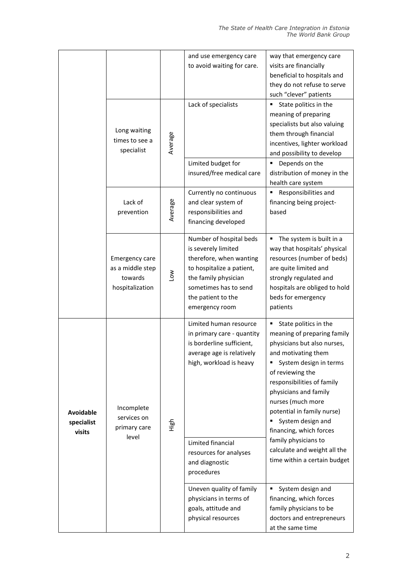| and use emergency care                                             | way that emergency care       |
|--------------------------------------------------------------------|-------------------------------|
| to avoid waiting for care.<br>visits are financially               |                               |
|                                                                    | beneficial to hospitals and   |
|                                                                    | they do not refuse to serve   |
|                                                                    | such "clever" patients        |
| Lack of specialists                                                | State politics in the         |
|                                                                    | meaning of preparing          |
| Long waiting                                                       | specialists but also valuing  |
| times to see a                                                     | them through financial        |
| Average<br>specialist                                              | incentives, lighter workload  |
|                                                                    | and possibility to develop    |
| Limited budget for                                                 | Depends on the                |
| insured/free medical care                                          | distribution of money in the  |
| health care system                                                 |                               |
| Currently no continuous                                            | Responsibilities and          |
| Average<br>Lack of<br>and clear system of                          | financing being project-      |
| responsibilities and<br>based<br>prevention<br>financing developed |                               |
|                                                                    |                               |
| Number of hospital beds                                            | The system is built in a      |
| is severely limited                                                | way that hospitals' physical  |
| therefore, when wanting<br><b>Emergency care</b>                   | resources (number of beds)    |
| to hospitalize a patient,<br>as a middle step                      | are quite limited and         |
| Low<br>towards<br>the family physician                             | strongly regulated and        |
| sometimes has to send<br>hospitalization                           | hospitals are obliged to hold |
| beds for emergency<br>the patient to the                           |                               |
| patients<br>emergency room                                         |                               |
| Limited human resource                                             | State politics in the         |
| in primary care - quantity                                         | meaning of preparing family   |
| is borderline sufficient,                                          | physicians but also nurses,   |
| average age is relatively                                          | and motivating them           |
| high, workload is heavy                                            | System design in terms        |
| of reviewing the                                                   |                               |
|                                                                    | responsibilities of family    |
|                                                                    | physicians and family         |
| nurses (much more<br>Incomplete                                    |                               |
| <b>Avoidable</b><br>services on                                    | potential in family nurse)    |
| High<br>specialist<br>primary care                                 | System design and             |
| visits<br>level                                                    | financing, which forces       |
| family physicians to<br>Limited financial                          |                               |
| resources for analyses                                             | calculate and weight all the  |
| and diagnostic                                                     | time within a certain budget  |
| procedures                                                         |                               |
| Uneven quality of family                                           | System design and             |
| physicians in terms of                                             | financing, which forces       |
| goals, attitude and                                                | family physicians to be       |
| physical resources                                                 | doctors and entrepreneurs     |
| at the same time                                                   |                               |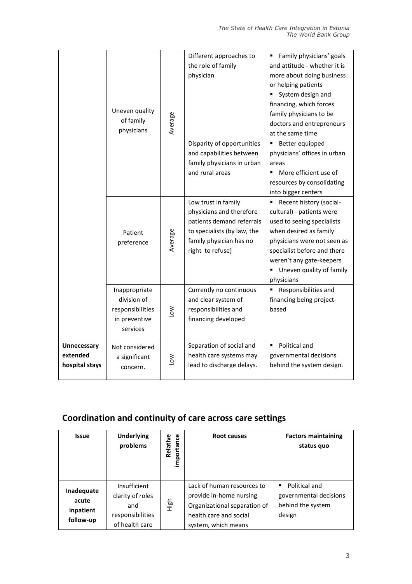|                                                  | Uneven quality<br>of family<br>physicians                                     | Average    | Different approaches to<br>the role of family<br>physician                                                                                                 | Family physicians' goals<br>٠<br>and attitude - whether it is<br>more about doing business<br>or helping patients<br>System design and<br>financing, which forces<br>family physicians to be<br>doctors and entrepreneurs<br>at the same time    |
|--------------------------------------------------|-------------------------------------------------------------------------------|------------|------------------------------------------------------------------------------------------------------------------------------------------------------------|--------------------------------------------------------------------------------------------------------------------------------------------------------------------------------------------------------------------------------------------------|
|                                                  |                                                                               |            | Disparity of opportunities<br>and capabilities between<br>family physicians in urban<br>and rural areas                                                    | Better equipped<br>٠<br>physicians' offices in urban<br>areas<br>More efficient use of<br>resources by consolidating<br>into bigger centers                                                                                                      |
|                                                  | Patient<br>preference                                                         | Average    | Low trust in family<br>physicians and therefore<br>patients demand referrals<br>to specialists (by law, the<br>family physician has no<br>right to refuse) | Recent history (social-<br>cultural) - patients were<br>used to seeing specialists<br>when desired as family<br>physicians were not seen as<br>specialist before and there<br>weren't any gate-keepers<br>Uneven quality of family<br>physicians |
|                                                  | Inappropriate<br>division of<br>responsibilities<br>in preventive<br>services | <b>No</b>  | Currently no continuous<br>and clear system of<br>responsibilities and<br>financing developed                                                              | Responsibilities and<br>financing being project-<br>based                                                                                                                                                                                        |
| <b>Unnecessary</b><br>extended<br>hospital stays | Not considered<br>a significant<br>concern.                                   | <b>NOT</b> | Separation of social and<br>health care systems may<br>lead to discharge delays.                                                                           | Political and<br>٠<br>governmental decisions<br>behind the system design.                                                                                                                                                                        |

# **Coordination and continuity of care across care settings**

| <b>Issue</b>                                  | <b>Underlying</b><br>problems                                                 | importance<br>Relative | Root causes                                                                                                                            | <b>Factors maintaining</b><br>status quo                                    |
|-----------------------------------------------|-------------------------------------------------------------------------------|------------------------|----------------------------------------------------------------------------------------------------------------------------------------|-----------------------------------------------------------------------------|
| Inadequate<br>acute<br>inpatient<br>follow-up | Insufficient<br>clarity of roles<br>and<br>responsibilities<br>of health care | High                   | Lack of human resources to<br>provide in-home nursing<br>Organizational separation of<br>health care and social<br>system, which means | Political and<br>٠<br>governmental decisions<br>behind the system<br>design |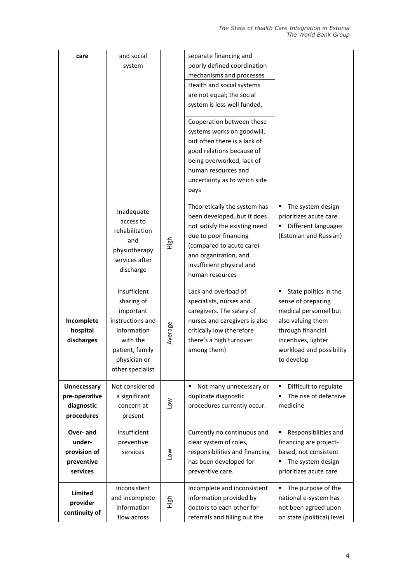| care          | and social                  |         | separate financing and         |                            |
|---------------|-----------------------------|---------|--------------------------------|----------------------------|
|               | system                      |         | poorly defined coordination    |                            |
|               |                             |         | mechanisms and processes       |                            |
|               |                             |         | Health and social systems      |                            |
|               |                             |         | are not equal; the social      |                            |
|               |                             |         | system is less well funded.    |                            |
|               |                             |         |                                |                            |
|               |                             |         | Cooperation between those      |                            |
|               |                             |         | systems works on goodwill,     |                            |
|               |                             |         | but often there is a lack of   |                            |
|               |                             |         | good relations because of      |                            |
|               |                             |         | being overworked, lack of      |                            |
|               |                             |         | human resources and            |                            |
|               |                             |         | uncertainty as to which side   |                            |
|               |                             |         | pays                           |                            |
|               |                             |         | Theoretically the system has   | The system design<br>٠     |
|               | Inadequate                  |         | been developed, but it does    | prioritizes acute care.    |
|               | access to<br>rehabilitation |         | not satisfy the existing need  | Different languages        |
|               | and                         |         | due to poor financing          | (Estonian and Russian)     |
|               | physiotherapy               | 군<br>도  | (compared to acute care)       |                            |
|               | services after              |         | and organization, and          |                            |
|               | discharge                   |         | insufficient physical and      |                            |
|               |                             |         | human resources                |                            |
|               | Insufficient                |         | Lack and overload of           | State politics in the      |
|               | sharing of                  |         | specialists, nurses and        | sense of preparing         |
|               | important                   |         | caregivers. The salary of      | medical personnel but      |
| Incomplete    | instructions and            |         | nurses and caregivers is also  | also valuing them          |
| hospital      | information                 | Average | critically low (therefore      | through financial          |
| discharges    | with the                    |         | there's a high turnover        | incentives, lighter        |
|               | patient, family             |         | among them)                    | workload and possibility   |
|               | physician or                |         |                                | to develop                 |
|               | other specialist            |         |                                |                            |
| Unnecessary   | Not considered              |         | Not many unnecessary or<br>٠   | Difficult to regulate<br>٠ |
| pre-operative | a significant               |         | duplicate diagnostic           | The rise of defensive      |
| diagnostic    | concern at                  | Low     | procedures currently occur.    | medicine                   |
| procedures    | present                     |         |                                |                            |
| Over-and      | Insufficient                |         | Currently no continuous and    | Responsibilities and       |
| under-        | preventive                  |         | clear system of roles,         | financing are project-     |
| provision of  | services                    |         | responsibilities and financing | based, not consistent      |
| preventive    |                             | No7     | has been developed for         | The system design          |
| services      |                             |         | preventive care.               | prioritizes acute care     |
|               | Inconsistent                |         | Incomplete and inconsistent    | The purpose of the         |
| Limited       | and incomplete              |         | information provided by        | national e-system has      |
| provider      | information                 | High    | doctors to each other for      | not been agreed upon       |
| continuity of | flow across                 |         | referrals and filling out the  | on state (political) level |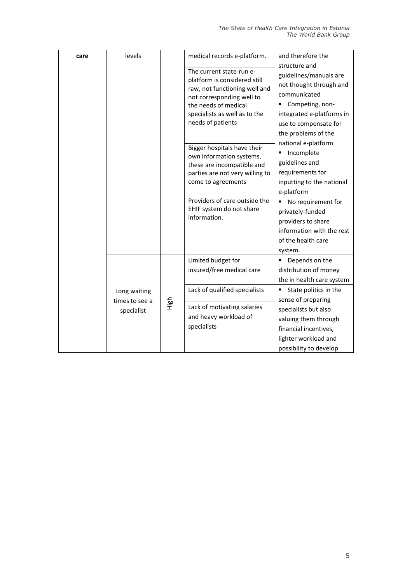| care | levels                                       |      | medical records e-platform.<br>The current state-run e-<br>platform is considered still<br>raw, not functioning well and<br>not corresponding well to<br>the needs of medical<br>specialists as well as to the | and therefore the<br>structure and<br>guidelines/manuals are<br>not thought through and<br>communicated<br>Competing, non-<br>integrated e-platforms in<br>use to compensate for<br>the problems of the<br>national e-platform<br>Incomplete<br>٠<br>guidelines and<br>requirements for<br>inputting to the national |
|------|----------------------------------------------|------|----------------------------------------------------------------------------------------------------------------------------------------------------------------------------------------------------------------|----------------------------------------------------------------------------------------------------------------------------------------------------------------------------------------------------------------------------------------------------------------------------------------------------------------------|
|      |                                              |      | needs of patients<br>Bigger hospitals have their<br>own information systems,<br>these are incompatible and<br>parties are not very willing to<br>come to agreements                                            |                                                                                                                                                                                                                                                                                                                      |
|      |                                              |      | Providers of care outside the<br>EHIF system do not share<br>information.                                                                                                                                      | e-platform<br>No requirement for<br>٠<br>privately-funded<br>providers to share<br>information with the rest<br>of the health care<br>system.                                                                                                                                                                        |
|      | Long waiting<br>times to see a<br>specialist | High | Limited budget for<br>insured/free medical care                                                                                                                                                                | Depends on the<br>distribution of money<br>the in health care system                                                                                                                                                                                                                                                 |
|      |                                              |      | Lack of qualified specialists<br>Lack of motivating salaries<br>and heavy workload of<br>specialists                                                                                                           | State politics in the<br>sense of preparing<br>specialists but also<br>valuing them through<br>financial incentives,<br>lighter workload and<br>possibility to develop                                                                                                                                               |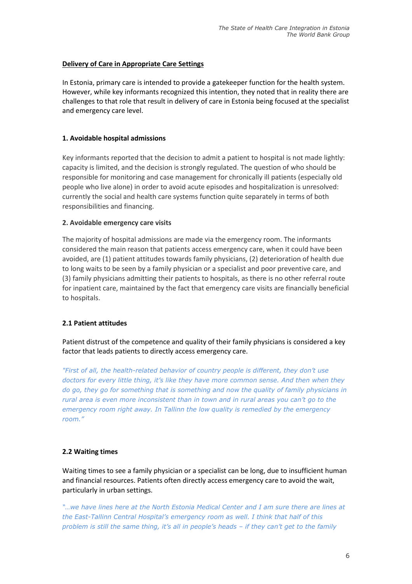# **Delivery of Care in Appropriate Care Settings**

In Estonia, primary care is intended to provide a gatekeeper function for the health system. However, while key informants recognized this intention, they noted that in reality there are challenges to that role that result in delivery of care in Estonia being focused at the specialist and emergency care level.

# **1. Avoidable hospital admissions**

Key informants reported that the decision to admit a patient to hospital is not made lightly: capacity is limited, and the decision is strongly regulated. The question of who should be responsible for monitoring and case management for chronically ill patients (especially old people who live alone) in order to avoid acute episodes and hospitalization is unresolved: currently the social and health care systems function quite separately in terms of both responsibilities and financing.

# **2. Avoidable emergency care visits**

The majority of hospital admissions are made via the emergency room. The informants considered the main reason that patients access emergency care, when it could have been avoided, are (1) patient attitudes towards family physicians, (2) deterioration of health due to long waits to be seen by a family physician or a specialist and poor preventive care, and (3) family physicians admitting their patients to hospitals, as there is no other referral route for inpatient care, maintained by the fact that emergency care visits are financially beneficial to hospitals.

# **2.1 Patient attitudes**

Patient distrust of the competence and quality of their family physicians is considered a key factor that leads patients to directly access emergency care.

*"First of all, the health-related behavior of country people is different, they don't use doctors for every little thing, it's like they have more common sense. And then when they do go, they go for something that is something and now the quality of family physicians in rural area is even more inconsistent than in town and in rural areas you can't go to the emergency room right away. In Tallinn the low quality is remedied by the emergency room."*

# **2.2 Waiting times**

Waiting times to see a family physician or a specialist can be long, due to insufficient human and financial resources. Patients often directly access emergency care to avoid the wait, particularly in urban settings.

*"…we have lines here at the North Estonia Medical Center and I am sure there are lines at the East-Tallinn Central Hospital's emergency room as well. I think that half of this problem is still the same thing, it's all in people's heads – if they can't get to the family*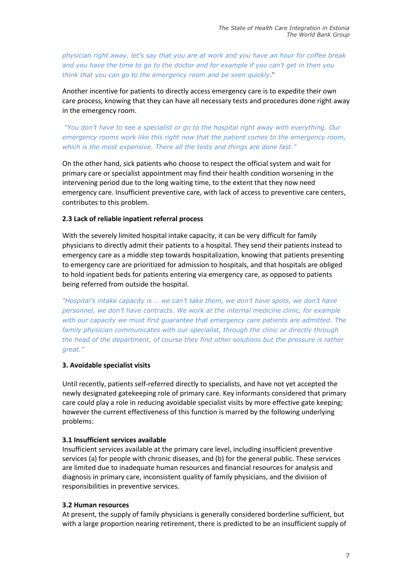*physician right away, let's say that you are at work and you have an hour for coffee break and you have the time to go to the doctor and for example if you can't get in then you think that you can go to the emergency room and be seen quickly*."

Another incentive for patients to directly access emergency care is to expedite their own care process, knowing that they can have all necessary tests and procedures done right away in the emergency room.

*"You don't have to see a specialist or go to the hospital right away with everything. Our emergency rooms work like this right now that the patient comes to the emergency room, which is the most expensive. There all the tests and things are done fast."*

On the other hand, sick patients who choose to respect the official system and wait for primary care or specialist appointment may find their health condition worsening in the intervening period due to the long waiting time, to the extent that they now need emergency care. Insufficient preventive care, with lack of access to preventive care centers, contributes to this problem.

# **2.3 Lack of reliable inpatient referral process**

With the severely limited hospital intake capacity, it can be very difficult for family physicians to directly admit their patients to a hospital. They send their patients instead to emergency care as a middle step towards hospitalization, knowing that patients presenting to emergency care are prioritized for admission to hospitals, and that hospitals are obliged to hold inpatient beds for patients entering via emergency care, as opposed to patients being referred from outside the hospital.

*"Hospital's intake capacity is … we can't take them, we don't have spots, we don't have personnel, we don't have contracts. We work at the internal medicine clinic, for example with our capacity we must first guarantee that emergency care patients are admitted. The family physician communicates with our specialist, through the clinic or directly through the head of the department, of course they find other solutions but the pressure is rather great."*

#### **3. Avoidable specialist visits**

Until recently, patients self-referred directly to specialists, and have not yet accepted the newly designated gatekeeping role of primary care. Key informants considered that primary care could play a role in reducing avoidable specialist visits by more effective gate keeping; however the current effectiveness of this function is marred by the following underlying problems:

#### **3.1 Insufficient services available**

Insufficient services available at the primary care level, including insufficient preventive services (a) for people with chronic diseases, and (b) for the general public. These services are limited due to inadequate human resources and financial resources for analysis and diagnosis in primary care, inconsistent quality of family physicians, and the division of responsibilities in preventive services.

#### **3.2 Human resources**

At present, the supply of family physicians is generally considered borderline sufficient, but with a large proportion nearing retirement, there is predicted to be an insufficient supply of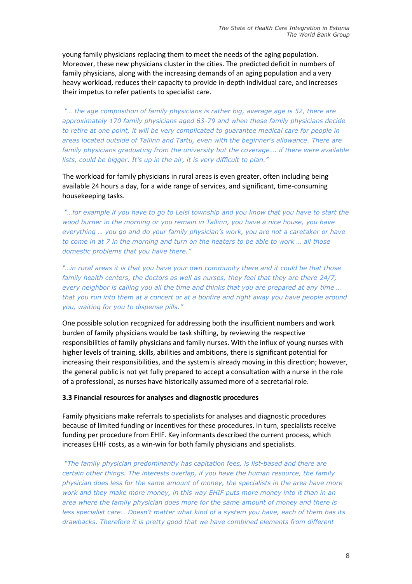young family physicians replacing them to meet the needs of the aging population. Moreover, these new physicians cluster in the cities. The predicted deficit in numbers of family physicians, along with the increasing demands of an aging population and a very heavy workload, reduces their capacity to provide in-depth individual care, and increases their impetus to refer patients to specialist care.

*"… the age composition of family physicians is rather big, average age is 52, there are approximately 170 family physicians aged 63-79 and when these family physicians decide to retire at one point, it will be very complicated to guarantee medical care for people in areas located outside of Tallinn and Tartu, even with the beginner's allowance. There are family physicians graduating from the university but the coverage…. if there were available lists, could be bigger. It's up in the air, it is very difficult to plan."*

The workload for family physicians in rural areas is even greater, often including being available 24 hours a day, for a wide range of services, and significant, time-consuming housekeeping tasks.

*"…for example if you have to go to Leisi township and you know that you have to start the wood burner in the morning or you remain in Tallinn, you have a nice house, you have everything … you go and do your family physician's work, you are not a caretaker or have to come in at 7 in the morning and turn on the heaters to be able to work … all those domestic problems that you have there."*

*"…in rural areas it is that you have your own community there and it could be that those family health centers, the doctors as well as nurses, they feel that they are there 24/7, every neighbor is calling you all the time and thinks that you are prepared at any time ... that you run into them at a concert or at a bonfire and right away you have people around you, waiting for you to dispense pills."*

One possible solution recognized for addressing both the insufficient numbers and work burden of family physicians would be task shifting, by reviewing the respective responsibilities of family physicians and family nurses. With the influx of young nurses with higher levels of training, skills, abilities and ambitions, there is significant potential for increasing their responsibilities, and the system is already moving in this direction; however, the general public is not yet fully prepared to accept a consultation with a nurse in the role of a professional, as nurses have historically assumed more of a secretarial role.

#### **3.3 Financial resources for analyses and diagnostic procedures**

Family physicians make referrals to specialists for analyses and diagnostic procedures because of limited funding or incentives for these procedures. In turn, specialists receive funding per procedure from EHIF. Key informants described the current process, which increases EHIF costs, as a win-win for both family physicians and specialists.

*"The family physician predominantly has capitation fees, is list-based and there are certain other things. The interests overlap, if you have the human resource, the family physician does less for the same amount of money, the specialists in the area have more work and they make more money, in this way EHIF puts more money into it than in an area where the family physician does more for the same amount of money and there is less specialist care… Doesn't matter what kind of a system you have, each of them has its drawbacks. Therefore it is pretty good that we have combined elements from different*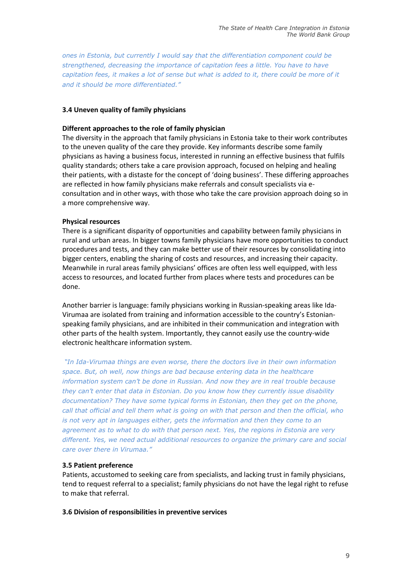*ones in Estonia, but currently I would say that the differentiation component could be strengthened, decreasing the importance of capitation fees a little. You have to have capitation fees, it makes a lot of sense but what is added to it, there could be more of it and it should be more differentiated."*

# **3.4 Uneven quality of family physicians**

#### **Different approaches to the role of family physician**

The diversity in the approach that family physicians in Estonia take to their work contributes to the uneven quality of the care they provide. Key informants describe some family physicians as having a business focus, interested in running an effective business that fulfils quality standards; others take a care provision approach, focused on helping and healing their patients, with a distaste for the concept of 'doing business'. These differing approaches are reflected in how family physicians make referrals and consult specialists via econsultation and in other ways, with those who take the care provision approach doing so in a more comprehensive way.

#### **Physical resources**

There is a significant disparity of opportunities and capability between family physicians in rural and urban areas. In bigger towns family physicians have more opportunities to conduct procedures and tests, and they can make better use of their resources by consolidating into bigger centers, enabling the sharing of costs and resources, and increasing their capacity. Meanwhile in rural areas family physicians' offices are often less well equipped, with less access to resources, and located further from places where tests and procedures can be done.

Another barrier is language: family physicians working in Russian-speaking areas like Ida-Virumaa are isolated from training and information accessible to the country's Estonianspeaking family physicians, and are inhibited in their communication and integration with other parts of the health system. Importantly, they cannot easily use the country-wide electronic healthcare information system.

*"In Ida-Virumaa things are even worse, there the doctors live in their own information space. But, oh well, now things are bad because entering data in the healthcare information system can't be done in Russian. And now they are in real trouble because they can't enter that data in Estonian. Do you know how they currently issue disability documentation? They have some typical forms in Estonian, then they get on the phone, call that official and tell them what is going on with that person and then the official, who is not very apt in languages either, gets the information and then they come to an agreement as to what to do with that person next. Yes, the regions in Estonia are very different. Yes, we need actual additional resources to organize the primary care and social care over there in Virumaa."*

#### **3.5 Patient preference**

Patients, accustomed to seeking care from specialists, and lacking trust in family physicians, tend to request referral to a specialist; family physicians do not have the legal right to refuse to make that referral.

#### **3.6 Division of responsibilities in preventive services**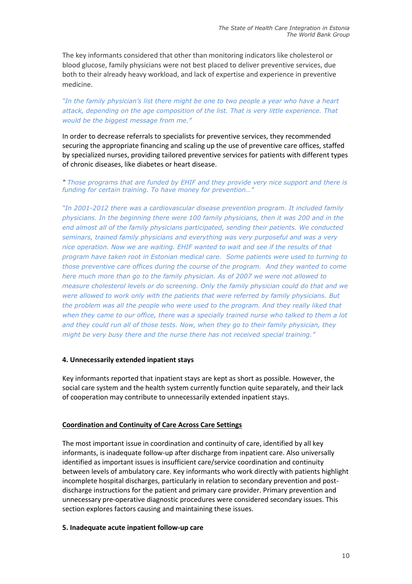The key informants considered that other than monitoring indicators like cholesterol or blood glucose, family physicians were not best placed to deliver preventive services, due both to their already heavy workload, and lack of expertise and experience in preventive medicine.

"In the family physician's list there might be one to two people a year who have a heart *attack, depending on the age composition of the list. That is very little experience. That would be the biggest message from me."*

In order to decrease referrals to specialists for preventive services, they recommended securing the appropriate financing and scaling up the use of preventive care offices, staffed by specialized nurses, providing tailored preventive services for patients with different types of chronic diseases, like diabetes or heart disease.

*" Those programs that are funded by EHIF and they provide very nice support and there is funding for certain training. To have money for prevention…"*

*"In 2001-2012 there was a cardiovascular disease prevention program. It included family physicians. In the beginning there were 100 family physicians, then it was 200 and in the end almost all of the family physicians participated, sending their patients. We conducted seminars, trained family physicians and everything was very purposeful and was a very nice operation. Now we are waiting. EHIF wanted to wait and see if the results of that program have taken root in Estonian medical care. Some patients were used to turning to those preventive care offices during the course of the program. And they wanted to come here much more than go to the family physician. As of 2007 we were not allowed to measure cholesterol levels or do screening. Only the family physician could do that and we were allowed to work only with the patients that were referred by family physicians. But the problem was all the people who were used to the program. And they really liked that when they came to our office, there was a specially trained nurse who talked to them a lot and they could run all of those tests. Now, when they go to their family physician, they might be very busy there and the nurse there has not received special training."*

#### **4. Unnecessarily extended inpatient stays**

Key informants reported that inpatient stays are kept as short as possible. However, the social care system and the health system currently function quite separately, and their lack of cooperation may contribute to unnecessarily extended inpatient stays.

#### **Coordination and Continuity of Care Across Care Settings**

The most important issue in coordination and continuity of care, identified by all key informants, is inadequate follow-up after discharge from inpatient care. Also universally identified as important issues is insufficient care/service coordination and continuity between levels of ambulatory care. Key informants who work directly with patients highlight incomplete hospital discharges, particularly in relation to secondary prevention and postdischarge instructions for the patient and primary care provider. Primary prevention and unnecessary pre-operative diagnostic procedures were considered secondary issues. This section explores factors causing and maintaining these issues.

#### **5. Inadequate acute inpatient follow-up care**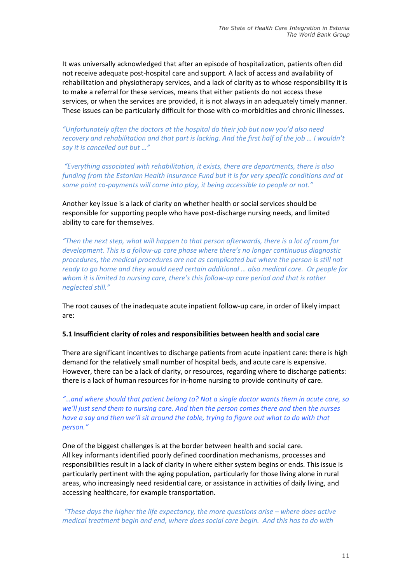It was universally acknowledged that after an episode of hospitalization, patients often did not receive adequate post-hospital care and support. A lack of access and availability of rehabilitation and physiotherapy services, and a lack of clarity as to whose responsibility it is to make a referral for these services, means that either patients do not access these services, or when the services are provided, it is not always in an adequately timely manner. These issues can be particularly difficult for those with co-morbidities and chronic illnesses.

*"Unfortunately often the doctors at the hospital do their job but now you'd also need recovery and rehabilitation and that part is lacking. And the first half of the job … I wouldn't say it is cancelled out but …"* 

*"Everything associated with rehabilitation, it exists, there are departments, there is also funding from the Estonian Health Insurance Fund but it is for very specific conditions and at some point co-payments will come into play, it being accessible to people or not."*

Another key issue is a lack of clarity on whether health or social services should be responsible for supporting people who have post-discharge nursing needs, and limited ability to care for themselves.

*"Then the next step, what will happen to that person afterwards, there is a lot of room for development. This is a follow-up care phase where there's no longer continuous diagnostic procedures, the medical procedures are not as complicated but where the person is still not ready to go home and they would need certain additional … also medical care. Or people for whom it is limited to nursing care, there's this follow-up care period and that is rather neglected still."* 

The root causes of the inadequate acute inpatient follow-up care, in order of likely impact are:

#### **5.1 Insufficient clarity of roles and responsibilities between health and social care**

There are significant incentives to discharge patients from acute inpatient care: there is high demand for the relatively small number of hospital beds, and acute care is expensive. However, there can be a lack of clarity, or resources, regarding where to discharge patients: there is a lack of human resources for in-home nursing to provide continuity of care.

*"…and where should that patient belong to? Not a single doctor wants them in acute care, so we'll just send them to nursing care. And then the person comes there and then the nurses have a say and then we'll sit around the table, trying to figure out what to do with that person."* 

One of the biggest challenges is at the border between health and social care. All key informants identified poorly defined coordination mechanisms, processes and responsibilities result in a lack of clarity in where either system begins or ends. This issue is particularly pertinent with the aging population, particularly for those living alone in rural areas, who increasingly need residential care, or assistance in activities of daily living, and accessing healthcare, for example transportation.

*"These days the higher the life expectancy, the more questions arise – where does active medical treatment begin and end, where does social care begin. And this has to do with*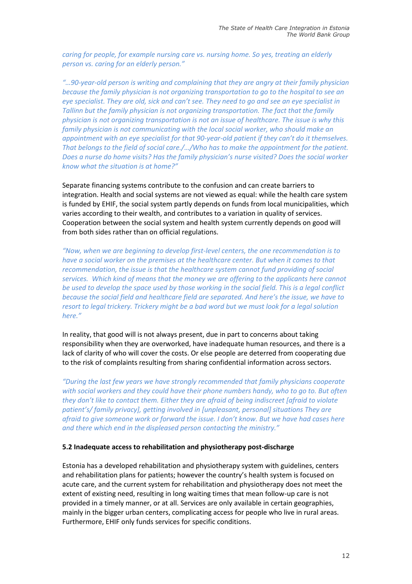*caring for people, for example nursing care vs. nursing home. So yes, treating an elderly person vs. caring for an elderly person."*

*"…90-year-old person is writing and complaining that they are angry at their family physician because the family physician is not organizing transportation to go to the hospital to see an eye specialist. They are old, sick and can't see. They need to go and see an eye specialist in Tallinn but the family physician is not organizing transportation. The fact that the family physician is not organizing transportation is not an issue of healthcare. The issue is why this*  family physician is not communicating with the local social worker, who should make an *appointment with an eye specialist for that 90-year-old patient if they can't do it themselves. That belongs to the field of social care./…/Who has to make the appointment for the patient. Does a nurse do home visits? Has the family physician's nurse visited? Does the social worker know what the situation is at home?"* 

Separate financing systems contribute to the confusion and can create barriers to integration. Health and social systems are not viewed as equal: while the health care system is funded by EHIF, the social system partly depends on funds from local municipalities, which varies according to their wealth, and contributes to a variation in quality of services. Cooperation between the social system and health system currently depends on good will from both sides rather than on official regulations.

*"Now, when we are beginning to develop first-level centers, the one recommendation is to have a social worker on the premises at the healthcare center. But when it comes to that recommendation, the issue is that the healthcare system cannot fund providing of social services. Which kind of means that the money we are offering to the applicants here cannot be used to develop the space used by those working in the social field. This is a legal conflict because the social field and healthcare field are separated. And here's the issue, we have to resort to legal trickery. Trickery might be a bad word but we must look for a legal solution here."*

In reality, that good will is not always present, due in part to concerns about taking responsibility when they are overworked, have inadequate human resources, and there is a lack of clarity of who will cover the costs. Or else people are deterred from cooperating due to the risk of complaints resulting from sharing confidential information across sectors.

*"During the last few years we have strongly recommended that family physicians cooperate with social workers and they could have their phone numbers handy, who to go to. But often they don't like to contact them. Either they are afraid of being indiscreet [afraid to violate patient's/ family privacy], getting involved in [unpleasant, personal] situations They are afraid to give someone work or forward the issue. I don't know. But we have had cases here and there which end in the displeased person contacting the ministry."*

# **5.2 Inadequate access to rehabilitation and physiotherapy post-discharge**

Estonia has a developed rehabilitation and physiotherapy system with guidelines, centers and rehabilitation plans for patients; however the country's health system is focused on acute care, and the current system for rehabilitation and physiotherapy does not meet the extent of existing need, resulting in long waiting times that mean follow-up care is not provided in a timely manner, or at all. Services are only available in certain geographies, mainly in the bigger urban centers, complicating access for people who live in rural areas. Furthermore, EHIF only funds services for specific conditions.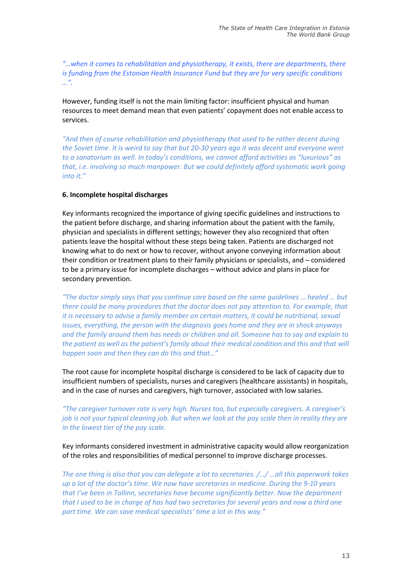*"…when it comes to rehabilitation and physiotherapy, it exists, there are departments, there is funding from the Estonian Health Insurance Fund but they are for very specific conditions …".*

However, funding itself is not the main limiting factor: insufficient physical and human resources to meet demand mean that even patients' copayment does not enable access to services.

*"And then of course rehabilitation and physiotherapy that used to be rather decent during the Soviet time. It is weird to say that but 20-30 years ago it was decent and everyone went to a sanatorium as well. In today's conditions, we cannot afford activities as "luxurious" as that, i.e. involving so much manpower. But we could definitely afford systematic work going into it."*

# **6. Incomplete hospital discharges**

Key informants recognized the importance of giving specific guidelines and instructions to the patient before discharge, and sharing information about the patient with the family, physician and specialists in different settings; however they also recognized that often patients leave the hospital without these steps being taken. Patients are discharged not knowing what to do next or how to recover, without anyone conveying information about their condition or treatment plans to their family physicians or specialists, and – considered to be a primary issue for incomplete discharges – without advice and plans in place for secondary prevention.

*"The doctor simply says that you continue care based on the same guidelines … healed … but there could be many procedures that the doctor does not pay attention to. For example, that it is necessary to advise a family member on certain matters, it could be nutritional, sexual issues, everything, the person with the diagnosis goes home and they are in shock anyways and the family around them has needs or children and all. Someone has to say and explain to the patient as well as the patient's family about their medical condition and this and that will happen soon and then they can do this and that…"*

The root cause for incomplete hospital discharge is considered to be lack of capacity due to insufficient numbers of specialists, nurses and caregivers (healthcare assistants) in hospitals, and in the case of nurses and caregivers, high turnover, associated with low salaries.

*"The caregiver turnover rate is very high. Nurses too, but especially caregivers. A caregiver's job is not your typical cleaning job. But when we look at the pay scale then in reality they are in the lowest tier of the pay scale.*

Key informants considered investment in administrative capacity would allow reorganization of the roles and responsibilities of medical personnel to improve discharge processes.

*The one thing is also that you can delegate a lot to secretaries. /…/ …all this paperwork takes up a lot of the doctor's time. We now have secretaries in medicine. During the 9-10 years that I've been in Tallinn, secretaries have become significantly better. Now the department that I used to be in charge of has had two secretaries for several years and now a third one part time. We can save medical specialists' time a lot in this way."*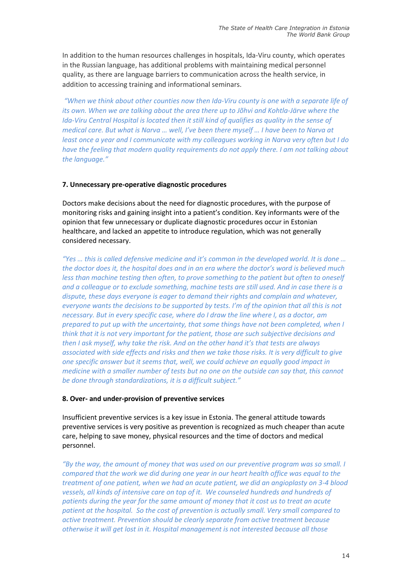In addition to the human resources challenges in hospitals, Ida-Viru county, which operates in the Russian language, has additional problems with maintaining medical personnel quality, as there are language barriers to communication across the health service, in addition to accessing training and informational seminars.

*"When we think about other counties now then Ida-Viru county is one with a separate life of its own. When we are talking about the area there up to Jõhvi and Kohtla-Järve where the Ida-Viru Central Hospital is located then it still kind of qualifies as quality in the sense of medical care. But what is Narva … well, I've been there myself … I have been to Narva at least once a year and I communicate with my colleagues working in Narva very often but I do have the feeling that modern quality requirements do not apply there. I am not talking about the language."*

#### **7. Unnecessary pre-operative diagnostic procedures**

Doctors make decisions about the need for diagnostic procedures, with the purpose of monitoring risks and gaining insight into a patient's condition. Key informants were of the opinion that few unnecessary or duplicate diagnostic procedures occur in Estonian healthcare, and lacked an appetite to introduce regulation, which was not generally considered necessary.

*"Yes … this is called defensive medicine and it's common in the developed world. It is done … the doctor does it, the hospital does and in an era where the doctor's word is believed much less than machine testing then often, to prove something to the patient but often to oneself and a colleague or to exclude something, machine tests are still used. And in case there is a dispute, these days everyone is eager to demand their rights and complain and whatever, everyone wants the decisions to be supported by tests. I'm of the opinion that all this is not necessary. But in every specific case, where do I draw the line where I, as a doctor, am prepared to put up with the uncertainty, that some things have not been completed, when I think that it is not very important for the patient, those are such subjective decisions and then I ask myself, why take the risk. And on the other hand it's that tests are always associated with side effects and risks and then we take those risks. It is very difficult to give one specific answer but it seems that, well, we could achieve an equally good impact in medicine with a smaller number of tests but no one on the outside can say that, this cannot be done through standardizations, it is a difficult subject."* 

#### **8. Over- and under-provision of preventive services**

Insufficient preventive services is a key issue in Estonia. The general attitude towards preventive services is very positive as prevention is recognized as much cheaper than acute care, helping to save money, physical resources and the time of doctors and medical personnel.

*"By the way, the amount of money that was used on our preventive program was so small. I compared that the work we did during one year in our heart health office was equal to the treatment of one patient, when we had an acute patient, we did an angioplasty on 3-4 blood vessels, all kinds of intensive care on top of it. We counseled hundreds and hundreds of patients during the year for the same amount of money that it cost us to treat an acute patient at the hospital. So the cost of prevention is actually small. Very small compared to active treatment. Prevention should be clearly separate from active treatment because otherwise it will get lost in it. Hospital management is not interested because all those*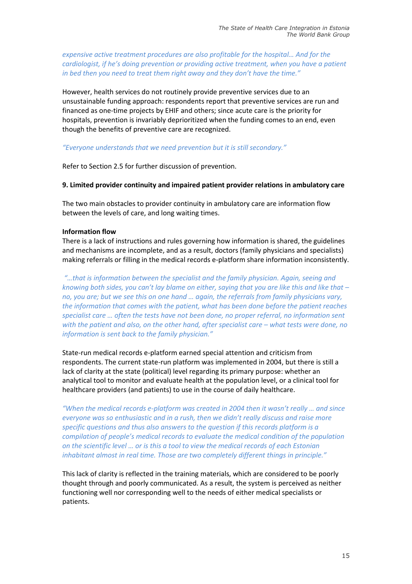*expensive active treatment procedures are also profitable for the hospital… And for the cardiologist, if he's doing prevention or providing active treatment, when you have a patient in bed then you need to treat them right away and they don't have the time."*

However, health services do not routinely provide preventive services due to an unsustainable funding approach: respondents report that preventive services are run and financed as one-time projects by EHIF and others; since acute care is the priority for hospitals, prevention is invariably deprioritized when the funding comes to an end, even though the benefits of preventive care are recognized.

# *"Everyone understands that we need prevention but it is still secondary."*

Refer to Section 2.5 for further discussion of prevention.

# **9. Limited provider continuity and impaired patient provider relations in ambulatory care**

The two main obstacles to provider continuity in ambulatory care are information flow between the levels of care, and long waiting times.

# **Information flow**

There is a lack of instructions and rules governing how information is shared, the guidelines and mechanisms are incomplete, and as a result, doctors (family physicians and specialists) making referrals or filling in the medical records e-platform share information inconsistently.

*"…that is information between the specialist and the family physician. Again, seeing and knowing both sides, you can't lay blame on either, saying that you are like this and like that – no, you are; but we see this on one hand … again, the referrals from family physicians vary, the information that comes with the patient, what has been done before the patient reaches specialist care … often the tests have not been done, no proper referral, no information sent with the patient and also, on the other hand, after specialist care – what tests were done, no information is sent back to the family physician."*

State-run medical records e-platform earned special attention and criticism from respondents. The current state-run platform was implemented in 2004, but there is still a lack of clarity at the state (political) level regarding its primary purpose: whether an analytical tool to monitor and evaluate health at the population level, or a clinical tool for healthcare providers (and patients) to use in the course of daily healthcare.

*"When the medical records e-platform was created in 2004 then it wasn't really … and since everyone was so enthusiastic and in a rush, then we didn't really discuss and raise more specific questions and thus also answers to the question if this records platform is a compilation of people's medical records to evaluate the medical condition of the population on the scientific level … or is this a tool to view the medical records of each Estonian inhabitant almost in real time. Those are two completely different things in principle."*

This lack of clarity is reflected in the training materials, which are considered to be poorly thought through and poorly communicated. As a result, the system is perceived as neither functioning well nor corresponding well to the needs of either medical specialists or patients.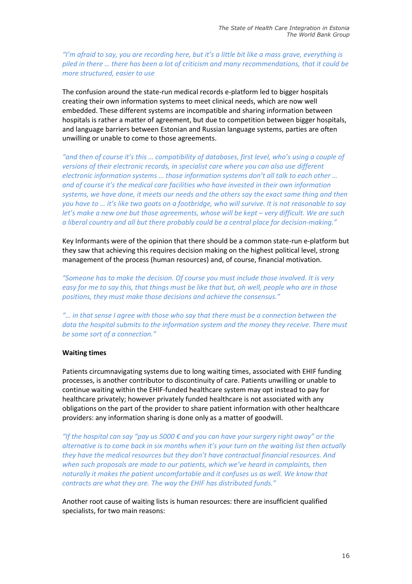*"I'm afraid to say, you are recording here, but it's a little bit like a mass grave, everything is piled in there … there has been a lot of criticism and many recommendations, that it could be more structured, easier to use*

The confusion around the state-run medical records e-platform led to bigger hospitals creating their own information systems to meet clinical needs, which are now well embedded. These different systems are incompatible and sharing information between hospitals is rather a matter of agreement, but due to competition between bigger hospitals, and language barriers between Estonian and Russian language systems, parties are often unwilling or unable to come to those agreements.

*"and then of course it's this … compatibility of databases, first level, who's using a couple of versions of their electronic records, in specialist care where you can also use different electronic information systems … those information systems don't all talk to each other … and of course it's the medical care facilities who have invested in their own information systems, we have done, it meets our needs and the others say the exact same thing and then you have to … it's like two goats on a footbridge, who will survive. It is not reasonable to say let's make a new one but those agreements, whose will be kept – very difficult. We are such a liberal country and all but there probably could be a central place for decision-making."*

Key Informants were of the opinion that there should be a common state-run e-platform but they saw that achieving this requires decision making on the highest political level, strong management of the process (human resources) and, of course, financial motivation.

*"Someone has to make the decision. Of course you must include those involved. It is very easy for me to say this, that things must be like that but, oh well, people who are in those positions, they must make those decisions and achieve the consensus."*

*"… in that sense I agree with those who say that there must be a connection between the data the hospital submits to the information system and the money they receive. There must be some sort of a connection."*

#### **Waiting times**

Patients circumnavigating systems due to long waiting times, associated with EHIF funding processes, is another contributor to discontinuity of care. Patients unwilling or unable to continue waiting within the EHIF-funded healthcare system may opt instead to pay for healthcare privately; however privately funded healthcare is not associated with any obligations on the part of the provider to share patient information with other healthcare providers: any information sharing is done only as a matter of goodwill.

*"If the hospital can say "pay us 5000 € and you can have your surgery right away" or the alternative is to come back in six months when it's your turn on the waiting list then actually they have the medical resources but they don't have contractual financial resources. And when such proposals are made to our patients, which we've heard in complaints, then naturally it makes the patient uncomfortable and it confuses us as well. We know that contracts are what they are. The way the EHIF has distributed funds."*

Another root cause of waiting lists is human resources: there are insufficient qualified specialists, for two main reasons: